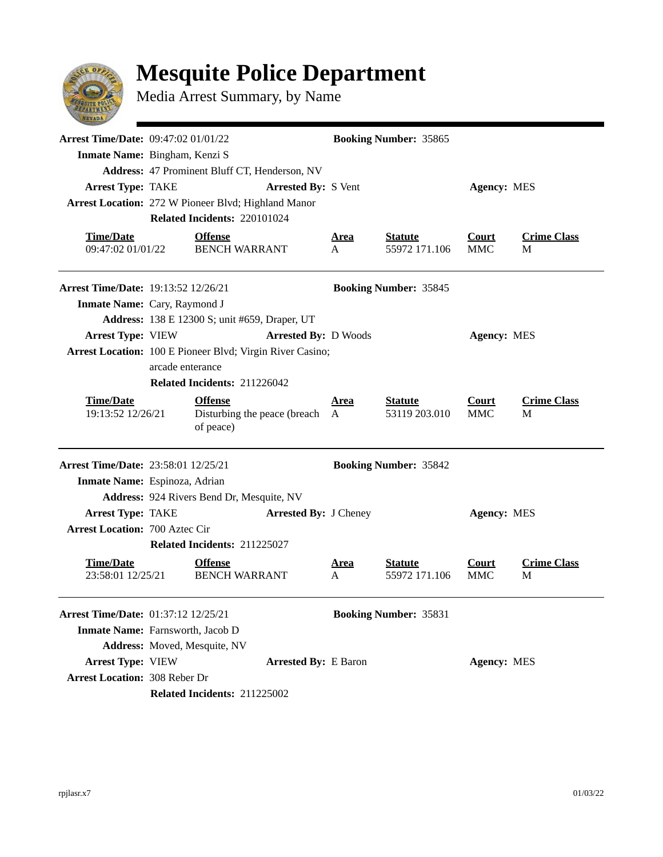## **Mesquite Police Department**



Media Arrest Summary, by Name

| <b>Arrest Time/Date: 09:47:02 01/01/22</b><br>Inmate Name: Bingham, Kenzi S |                                               |                                                               |                              | <b>Booking Number: 35865</b> |                                 |                            |                         |  |  |
|-----------------------------------------------------------------------------|-----------------------------------------------|---------------------------------------------------------------|------------------------------|------------------------------|---------------------------------|----------------------------|-------------------------|--|--|
|                                                                             | Address: 47 Prominent Bluff CT, Henderson, NV |                                                               |                              |                              |                                 |                            |                         |  |  |
| <b>Arrest Type: TAKE</b>                                                    |                                               |                                                               | <b>Arrested By: S Vent</b>   | <b>Agency: MES</b>           |                                 |                            |                         |  |  |
| Arrest Location: 272 W Pioneer Blvd; Highland Manor                         |                                               |                                                               |                              |                              |                                 |                            |                         |  |  |
|                                                                             |                                               | Related Incidents: 220101024                                  |                              |                              |                                 |                            |                         |  |  |
| <b>Time/Date</b><br>09:47:02 01/01/22                                       |                                               | <b>Offense</b><br><b>BENCH WARRANT</b>                        |                              | <u>Area</u><br>A             | <b>Statute</b><br>55972 171.106 | Court<br><b>MMC</b>        | <b>Crime Class</b><br>M |  |  |
| <b>Arrest Time/Date: 19:13:52 12/26/21</b>                                  |                                               |                                                               |                              |                              | <b>Booking Number: 35845</b>    |                            |                         |  |  |
| Inmate Name: Cary, Raymond J                                                |                                               |                                                               |                              |                              |                                 |                            |                         |  |  |
|                                                                             |                                               | <b>Address:</b> 138 E 12300 S; unit #659, Draper, UT          |                              |                              |                                 |                            |                         |  |  |
| <b>Arrest Type: VIEW</b>                                                    |                                               |                                                               | <b>Arrested By: D Woods</b>  |                              |                                 | <b>Agency: MES</b>         |                         |  |  |
| Arrest Location: 100 E Pioneer Blvd; Virgin River Casino;                   |                                               |                                                               |                              |                              |                                 |                            |                         |  |  |
|                                                                             | arcade enterance                              |                                                               |                              |                              |                                 |                            |                         |  |  |
|                                                                             |                                               | Related Incidents: 211226042                                  |                              |                              |                                 |                            |                         |  |  |
| <b>Time/Date</b><br>19:13:52 12/26/21                                       |                                               | <b>Offense</b><br>Disturbing the peace (breach A<br>of peace) |                              | <u>Area</u>                  | <b>Statute</b><br>53119 203.010 | <b>Court</b><br><b>MMC</b> | <b>Crime Class</b><br>M |  |  |
| <b>Arrest Time/Date: 23:58:01 12/25/21</b>                                  |                                               |                                                               |                              |                              | <b>Booking Number: 35842</b>    |                            |                         |  |  |
| Inmate Name: Espinoza, Adrian                                               |                                               |                                                               |                              |                              |                                 |                            |                         |  |  |
|                                                                             |                                               | Address: 924 Rivers Bend Dr, Mesquite, NV                     |                              |                              |                                 |                            |                         |  |  |
| <b>Arrest Type: TAKE</b>                                                    |                                               |                                                               | <b>Arrested By: J Cheney</b> |                              |                                 | <b>Agency: MES</b>         |                         |  |  |
| <b>Arrest Location: 700 Aztec Cir</b>                                       |                                               |                                                               |                              |                              |                                 |                            |                         |  |  |
|                                                                             |                                               | Related Incidents: 211225027                                  |                              |                              |                                 |                            |                         |  |  |
| <b>Time/Date</b><br>23:58:01 12/25/21                                       |                                               | <b>Offense</b><br><b>BENCH WARRANT</b>                        |                              | <u>Area</u><br>A             | <b>Statute</b><br>55972 171.106 | <b>Court</b><br><b>MMC</b> | <b>Crime Class</b><br>M |  |  |
| Arrest Time/Date: 01:37:12 12/25/21                                         |                                               |                                                               |                              |                              | <b>Booking Number: 35831</b>    |                            |                         |  |  |
| Inmate Name: Farnsworth, Jacob D                                            |                                               |                                                               |                              |                              |                                 |                            |                         |  |  |
|                                                                             |                                               | Address: Moved, Mesquite, NV                                  |                              |                              |                                 |                            |                         |  |  |
| <b>Arrest Type: VIEW</b>                                                    |                                               |                                                               | <b>Arrested By: E Baron</b>  |                              |                                 | <b>Agency: MES</b>         |                         |  |  |
| <b>Arrest Location: 308 Reber Dr</b>                                        |                                               |                                                               |                              |                              |                                 |                            |                         |  |  |
|                                                                             |                                               | Related Incidents: 211225002                                  |                              |                              |                                 |                            |                         |  |  |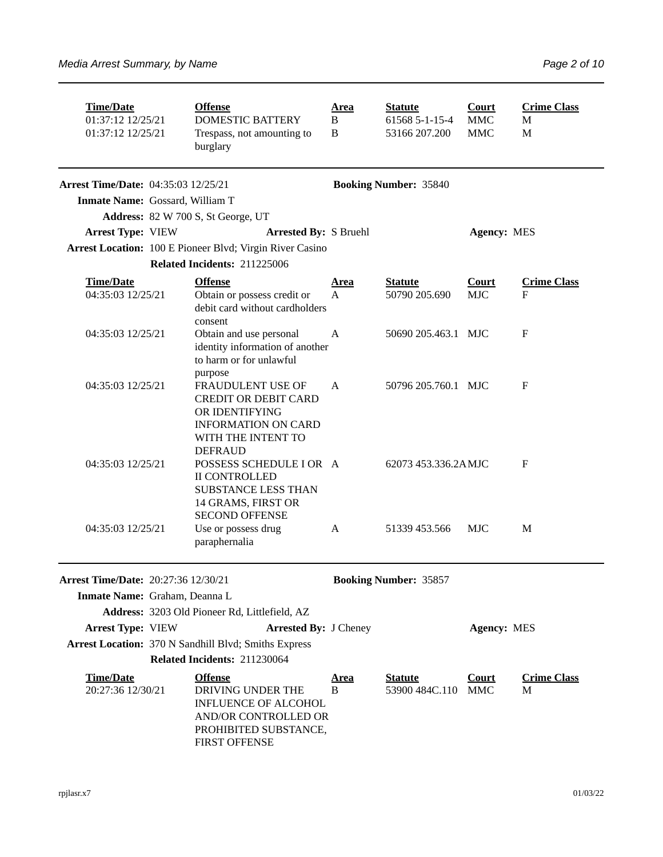| <b>Time/Date</b><br>01:37:12 12/25/21<br>01:37:12 12/25/21 |  | <b>Offense</b><br><b>DOMESTIC BATTERY</b><br>Trespass, not amounting to<br>burglary                                                         | <u>Area</u><br>B<br>B       | <b>Statute</b><br>61568 5-1-15-4<br>53166 207.200 | <b>Court</b><br><b>MMC</b><br><b>MMC</b> | <b>Crime Class</b><br>M<br>M |  |
|------------------------------------------------------------|--|---------------------------------------------------------------------------------------------------------------------------------------------|-----------------------------|---------------------------------------------------|------------------------------------------|------------------------------|--|
| <b>Arrest Time/Date: 04:35:03 12/25/21</b>                 |  |                                                                                                                                             |                             | <b>Booking Number: 35840</b>                      |                                          |                              |  |
| Inmate Name: Gossard, William T                            |  |                                                                                                                                             |                             |                                                   |                                          |                              |  |
|                                                            |  | Address: 82 W 700 S, St George, UT                                                                                                          |                             |                                                   |                                          |                              |  |
| <b>Arrest Type: VIEW</b>                                   |  | <b>Arrested By: S Bruehl</b>                                                                                                                |                             |                                                   | <b>Agency: MES</b>                       |                              |  |
|                                                            |  | Arrest Location: 100 E Pioneer Blvd; Virgin River Casino<br>Related Incidents: 211225006                                                    |                             |                                                   |                                          |                              |  |
| <b>Time/Date</b><br>04:35:03 12/25/21                      |  | <b>Offense</b><br>Obtain or possess credit or<br>debit card without cardholders<br>consent                                                  | <u>Area</u><br>$\mathsf{A}$ | <b>Statute</b><br>50790 205.690                   | <b>Court</b><br><b>MJC</b>               | <b>Crime Class</b><br>F      |  |
| 04:35:03 12/25/21                                          |  | Obtain and use personal<br>identity information of another<br>to harm or for unlawful<br>purpose                                            | A                           | 50690 205.463.1 MJC                               |                                          | $\mathbf{F}$                 |  |
| 04:35:03 12/25/21                                          |  | FRAUDULENT USE OF<br><b>CREDIT OR DEBIT CARD</b><br>OR IDENTIFYING<br><b>INFORMATION ON CARD</b><br>WITH THE INTENT TO<br><b>DEFRAUD</b>    | A                           | 50796 205.760.1 MJC                               |                                          | $\mathbf{F}$                 |  |
| 04:35:03 12/25/21                                          |  | POSSESS SCHEDULE I OR A<br><b>II CONTROLLED</b><br><b>SUBSTANCE LESS THAN</b><br>14 GRAMS, FIRST OR<br><b>SECOND OFFENSE</b>                |                             | 62073 453.336.2AMJC                               |                                          | $\mathbf{F}$                 |  |
| 04:35:03 12/25/21                                          |  | Use or possess drug<br>paraphernalia                                                                                                        | A                           | 51339 453.566                                     | <b>MJC</b>                               | M                            |  |
| Arrest Time/Date: 20:27:36 12/30/21                        |  |                                                                                                                                             |                             | <b>Booking Number: 35857</b>                      |                                          |                              |  |
| Inmate Name: Graham, Deanna L                              |  |                                                                                                                                             |                             |                                                   |                                          |                              |  |
|                                                            |  | Address: 3203 Old Pioneer Rd, Littlefield, AZ                                                                                               |                             |                                                   |                                          |                              |  |
| <b>Arrest Type: VIEW</b>                                   |  | <b>Arrested By: J Cheney</b>                                                                                                                |                             |                                                   | <b>Agency: MES</b>                       |                              |  |
|                                                            |  | Arrest Location: 370 N Sandhill Blvd; Smiths Express                                                                                        |                             |                                                   |                                          |                              |  |
| Related Incidents: 211230064                               |  |                                                                                                                                             |                             |                                                   |                                          |                              |  |
| <b>Time/Date</b><br>20:27:36 12/30/21                      |  | <b>Offense</b><br>DRIVING UNDER THE<br><b>INFLUENCE OF ALCOHOL</b><br>AND/OR CONTROLLED OR<br>PROHIBITED SUBSTANCE,<br><b>FIRST OFFENSE</b> | <u>Area</u><br>B            | <b>Statute</b><br>53900 484C.110                  | <b>Court</b><br><b>MMC</b>               | <b>Crime Class</b><br>M      |  |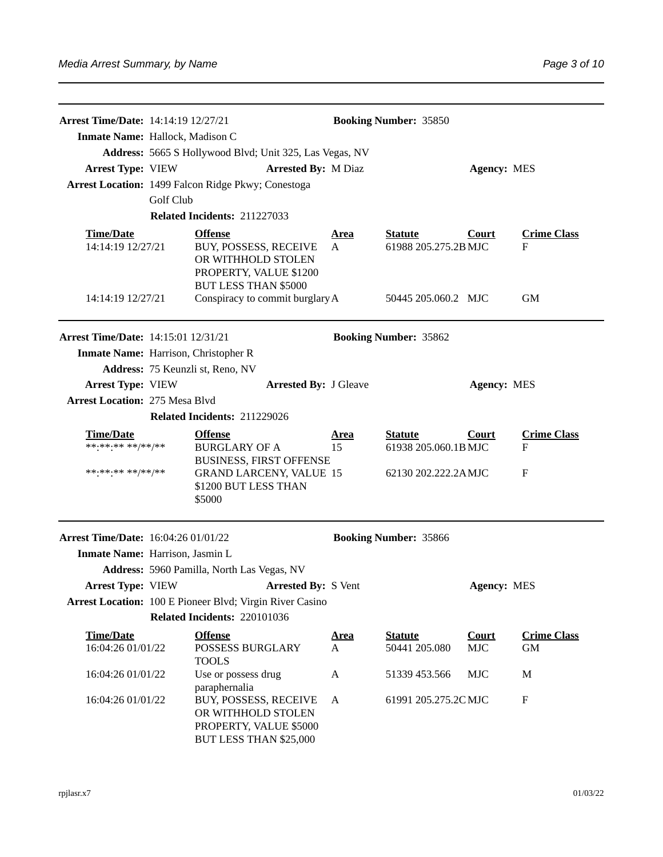| Arrest Time/Date: 14:14:19 12/27/21                      |                              |                                                                                                                        | <b>Booking Number: 35850</b> |                                        |                                                                                  |                           |  |
|----------------------------------------------------------|------------------------------|------------------------------------------------------------------------------------------------------------------------|------------------------------|----------------------------------------|----------------------------------------------------------------------------------|---------------------------|--|
| Inmate Name: Hallock, Madison C                          |                              |                                                                                                                        |                              |                                        |                                                                                  |                           |  |
|                                                          |                              | Address: 5665 S Hollywood Blvd; Unit 325, Las Vegas, NV                                                                |                              |                                        |                                                                                  |                           |  |
| <b>Arrest Type: VIEW</b>                                 |                              | <b>Arrested By: M Diaz</b>                                                                                             |                              |                                        | <b>Agency: MES</b>                                                               |                           |  |
|                                                          |                              | Arrest Location: 1499 Falcon Ridge Pkwy; Conestoga                                                                     |                              |                                        |                                                                                  |                           |  |
|                                                          | Golf Club                    |                                                                                                                        |                              |                                        |                                                                                  |                           |  |
|                                                          | Related Incidents: 211227033 |                                                                                                                        |                              |                                        |                                                                                  |                           |  |
| <b>Time/Date</b><br>14:14:19 12/27/21                    |                              | <b>Offense</b><br>BUY, POSSESS, RECEIVE<br>OR WITHHOLD STOLEN<br>PROPERTY, VALUE \$1200<br><b>BUT LESS THAN \$5000</b> | <u>Area</u><br>A             | <b>Statute</b><br>61988 205.275.2B MJC | Court                                                                            | <b>Crime Class</b><br>F   |  |
| 14:14:19 12/27/21                                        |                              | Conspiracy to commit burglary A                                                                                        |                              | 50445 205.060.2 MJC                    |                                                                                  | <b>GM</b>                 |  |
| <b>Arrest Time/Date: 14:15:01 12/31/21</b>               |                              |                                                                                                                        |                              | <b>Booking Number: 35862</b>           |                                                                                  |                           |  |
| Inmate Name: Harrison, Christopher R                     |                              |                                                                                                                        |                              |                                        |                                                                                  |                           |  |
|                                                          |                              | Address: 75 Keunzli st, Reno, NV                                                                                       |                              |                                        |                                                                                  |                           |  |
| <b>Arrest Type: VIEW</b><br><b>Arrested By: J Gleave</b> |                              |                                                                                                                        |                              |                                        | <b>Agency: MES</b>                                                               |                           |  |
| <b>Arrest Location: 275 Mesa Blvd</b>                    |                              |                                                                                                                        |                              |                                        |                                                                                  |                           |  |
|                                                          |                              | Related Incidents: 211229026                                                                                           |                              |                                        |                                                                                  |                           |  |
| <b>Time/Date</b><br>**********/**/**                     |                              | <b>Offense</b><br><b>BURGLARY OF A</b><br><b>BUSINESS, FIRST OFFENSE</b>                                               |                              | <b>Statute</b>                         | <b>Crime Class</b><br>Court<br>61938 205.060.1B MJC<br>$\boldsymbol{\mathrm{F}}$ |                           |  |
| ******** **/**/**                                        |                              | <b>GRAND LARCENY, VALUE 15</b><br>\$1200 BUT LESS THAN<br>\$5000                                                       |                              | 62130 202.222.2AMJC                    |                                                                                  | $\mathbf{F}$              |  |
| <b>Arrest Time/Date: 16:04:26 01/01/22</b>               |                              |                                                                                                                        |                              | <b>Booking Number: 35866</b>           |                                                                                  |                           |  |
| Inmate Name: Harrison, Jasmin L                          |                              |                                                                                                                        |                              |                                        |                                                                                  |                           |  |
|                                                          |                              | Address: 5960 Pamilla, North Las Vegas, NV                                                                             |                              |                                        |                                                                                  |                           |  |
| <b>Arrest Type: VIEW</b>                                 |                              | <b>Arrested By: S Vent</b>                                                                                             |                              |                                        | <b>Agency: MES</b>                                                               |                           |  |
|                                                          |                              | Arrest Location: 100 E Pioneer Blvd; Virgin River Casino                                                               |                              |                                        |                                                                                  |                           |  |
|                                                          |                              | Related Incidents: 220101036                                                                                           |                              |                                        |                                                                                  |                           |  |
| <b>Time/Date</b>                                         |                              | <b>Offense</b>                                                                                                         | <u>Area</u>                  | <b>Statute</b>                         | <b>Court</b>                                                                     | <b>Crime Class</b>        |  |
| 16:04:26 01/01/22                                        |                              | <b>POSSESS BURGLARY</b><br><b>TOOLS</b>                                                                                | A                            | 50441 205.080                          | <b>MJC</b>                                                                       | GM                        |  |
| 16:04:26 01/01/22                                        |                              | Use or possess drug<br>paraphernalia                                                                                   | A                            | 51339 453.566                          | <b>MJC</b>                                                                       | M                         |  |
| 16:04:26 01/01/22                                        |                              | BUY, POSSESS, RECEIVE<br>OR WITHHOLD STOLEN<br>PROPERTY, VALUE \$5000<br>BUT LESS THAN \$25,000                        | A                            | 61991 205.275.2C MJC                   |                                                                                  | $\boldsymbol{\mathrm{F}}$ |  |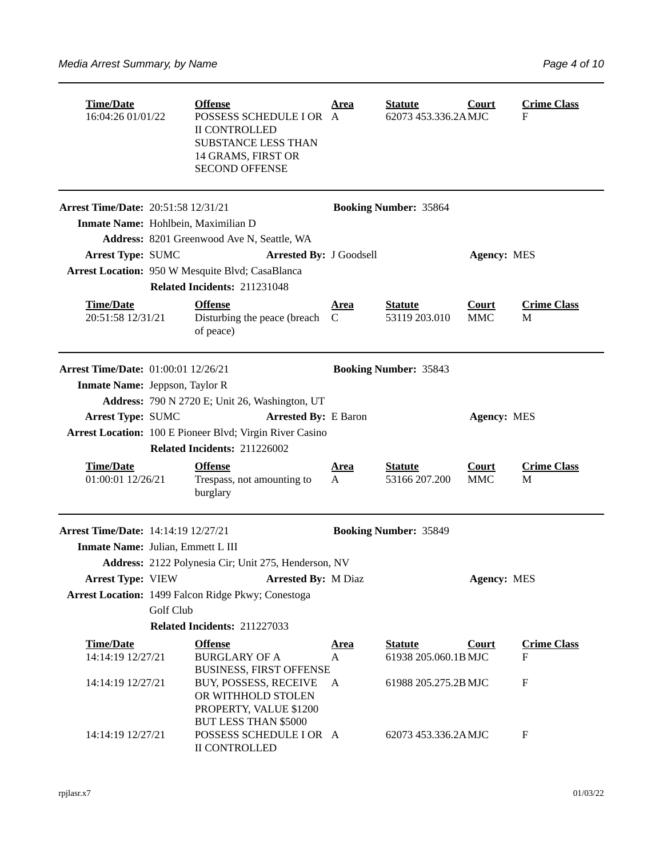| <b>Time/Date</b><br>16:04:26 01/01/22                    |                                                         | <b>Offense</b><br>POSSESS SCHEDULE I OR A<br><b>II CONTROLLED</b><br><b>SUBSTANCE LESS THAN</b><br>14 GRAMS, FIRST OR<br><b>SECOND OFFENSE</b> | <b>Statute</b><br><b>Area</b><br>62073 453.336.2AMJC |                                        | Court                      | <b>Crime Class</b><br>F |  |  |  |
|----------------------------------------------------------|---------------------------------------------------------|------------------------------------------------------------------------------------------------------------------------------------------------|------------------------------------------------------|----------------------------------------|----------------------------|-------------------------|--|--|--|
| <b>Arrest Time/Date: 20:51:58 12/31/21</b>               |                                                         |                                                                                                                                                |                                                      | <b>Booking Number: 35864</b>           |                            |                         |  |  |  |
| Inmate Name: Hohlbein, Maximilian D                      |                                                         |                                                                                                                                                |                                                      |                                        |                            |                         |  |  |  |
|                                                          |                                                         | Address: 8201 Greenwood Ave N, Seattle, WA                                                                                                     |                                                      |                                        |                            |                         |  |  |  |
| <b>Arrest Type: SUMC</b>                                 |                                                         | <b>Arrested By: J Goodsell</b>                                                                                                                 |                                                      |                                        | <b>Agency: MES</b>         |                         |  |  |  |
|                                                          |                                                         | Arrest Location: 950 W Mesquite Blvd; CasaBlanca                                                                                               |                                                      |                                        |                            |                         |  |  |  |
|                                                          |                                                         | Related Incidents: 211231048                                                                                                                   |                                                      |                                        |                            |                         |  |  |  |
| <b>Time/Date</b><br>20:51:58 12/31/21                    |                                                         | <b>Offense</b><br>Disturbing the peace (breach C<br>of peace)                                                                                  | <u>Area</u>                                          | <b>Statute</b><br>53119 203.010        | Court<br><b>MMC</b>        | <b>Crime Class</b><br>M |  |  |  |
| Arrest Time/Date: 01:00:01 12/26/21                      |                                                         |                                                                                                                                                |                                                      | <b>Booking Number: 35843</b>           |                            |                         |  |  |  |
| <b>Inmate Name:</b> Jeppson, Taylor R                    |                                                         |                                                                                                                                                |                                                      |                                        |                            |                         |  |  |  |
|                                                          | Address: 790 N 2720 E; Unit 26, Washington, UT          |                                                                                                                                                |                                                      |                                        |                            |                         |  |  |  |
|                                                          | <b>Arrest Type: SUMC</b><br><b>Arrested By: E Baron</b> |                                                                                                                                                |                                                      |                                        | <b>Agency: MES</b>         |                         |  |  |  |
| Arrest Location: 100 E Pioneer Blvd; Virgin River Casino |                                                         |                                                                                                                                                |                                                      |                                        |                            |                         |  |  |  |
|                                                          |                                                         | Related Incidents: 211226002                                                                                                                   |                                                      |                                        |                            |                         |  |  |  |
| <b>Time/Date</b><br>01:00:01 12/26/21                    |                                                         | <b>Offense</b><br>Trespass, not amounting to<br>burglary                                                                                       | <u>Area</u><br>A                                     | <b>Statute</b><br>53166 207.200        | <b>Court</b><br><b>MMC</b> | <b>Crime Class</b><br>M |  |  |  |
| <b>Arrest Time/Date: 14:14:19 12/27/21</b>               |                                                         |                                                                                                                                                |                                                      | <b>Booking Number: 35849</b>           |                            |                         |  |  |  |
| Inmate Name: Julian, Emmett L III                        |                                                         |                                                                                                                                                |                                                      |                                        |                            |                         |  |  |  |
|                                                          |                                                         | Address: 2122 Polynesia Cir; Unit 275, Henderson, NV                                                                                           |                                                      |                                        |                            |                         |  |  |  |
|                                                          |                                                         | Arrest Type: VIEW <b>Arrested By: M Diaz</b>                                                                                                   |                                                      |                                        | <b>Agency: MES</b>         |                         |  |  |  |
|                                                          |                                                         | Arrest Location: 1499 Falcon Ridge Pkwy; Conestoga                                                                                             |                                                      |                                        |                            |                         |  |  |  |
|                                                          | Golf Club                                               |                                                                                                                                                |                                                      |                                        |                            |                         |  |  |  |
|                                                          |                                                         | Related Incidents: 211227033                                                                                                                   |                                                      |                                        |                            |                         |  |  |  |
| <b>Time/Date</b><br>14:14:19 12/27/21                    |                                                         | <b>Offense</b><br><b>BURGLARY OF A</b><br><b>BUSINESS, FIRST OFFENSE</b>                                                                       | <u>Area</u><br>A                                     | <b>Statute</b><br>61938 205.060.1B MJC | <b>Court</b>               | <b>Crime Class</b><br>F |  |  |  |
| 14:14:19 12/27/21                                        |                                                         | BUY, POSSESS, RECEIVE<br>OR WITHHOLD STOLEN<br>PROPERTY, VALUE \$1200<br>BUT LESS THAN \$5000                                                  | A                                                    | 61988 205.275.2B MJC                   |                            | $\rm F$                 |  |  |  |
| 14:14:19 12/27/21                                        |                                                         | POSSESS SCHEDULE I OR A<br>II CONTROLLED                                                                                                       |                                                      | 62073 453.336.2AMJC                    |                            | $\mathbf{F}$            |  |  |  |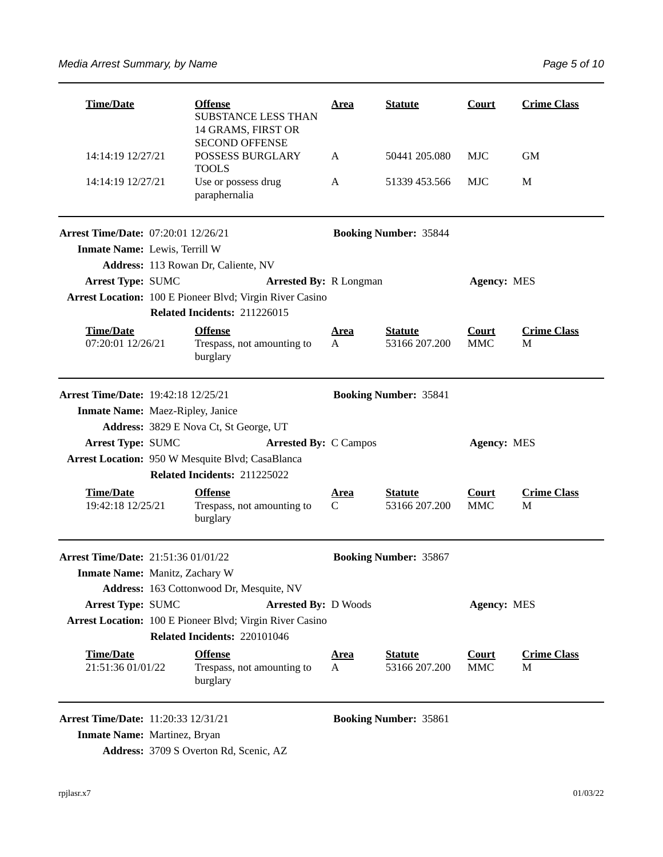| <b>Time/Date</b>                                                    |  | <b>Offense</b><br><b>SUBSTANCE LESS THAN</b><br>14 GRAMS, FIRST OR                       | <u>Area</u>                  | <b>Statute</b>                  | <b>Court</b>               | <b>Crime Class</b>      |  |  |
|---------------------------------------------------------------------|--|------------------------------------------------------------------------------------------|------------------------------|---------------------------------|----------------------------|-------------------------|--|--|
| 14:14:19 12/27/21                                                   |  | <b>SECOND OFFENSE</b><br><b>POSSESS BURGLARY</b><br><b>TOOLS</b>                         | A                            | 50441 205.080                   | <b>MJC</b>                 | <b>GM</b>               |  |  |
| 14:14:19 12/27/21                                                   |  | Use or possess drug<br>paraphernalia                                                     | A                            | 51339 453.566                   | <b>MJC</b>                 | M                       |  |  |
| <b>Arrest Time/Date: 07:20:01 12/26/21</b>                          |  |                                                                                          | <b>Booking Number: 35844</b> |                                 |                            |                         |  |  |
| Inmate Name: Lewis, Terrill W                                       |  |                                                                                          |                              |                                 |                            |                         |  |  |
|                                                                     |  | Address: 113 Rowan Dr, Caliente, NV                                                      |                              |                                 |                            |                         |  |  |
| <b>Arrest Type: SUMC</b>                                            |  | <b>Arrested By: R Longman</b>                                                            |                              |                                 | <b>Agency: MES</b>         |                         |  |  |
|                                                                     |  | Arrest Location: 100 E Pioneer Blvd; Virgin River Casino<br>Related Incidents: 211226015 |                              |                                 |                            |                         |  |  |
| <b>Time/Date</b><br><b>Offense</b><br>07:20:01 12/26/21<br>burglary |  | Trespass, not amounting to                                                               | <u>Area</u><br>A             | <b>Statute</b><br>53166 207.200 | <b>Court</b><br><b>MMC</b> | <b>Crime Class</b><br>M |  |  |
| <b>Arrest Time/Date: 19:42:18 12/25/21</b>                          |  |                                                                                          |                              | <b>Booking Number: 35841</b>    |                            |                         |  |  |
| <b>Inmate Name: Maez-Ripley, Janice</b>                             |  |                                                                                          |                              |                                 |                            |                         |  |  |
|                                                                     |  | Address: 3829 E Nova Ct, St George, UT                                                   |                              |                                 |                            |                         |  |  |
| <b>Arrest Type: SUMC</b>                                            |  | <b>Arrested By: C Campos</b>                                                             | <b>Agency: MES</b>           |                                 |                            |                         |  |  |
|                                                                     |  | Arrest Location: 950 W Mesquite Blvd; CasaBlanca                                         |                              |                                 |                            |                         |  |  |
|                                                                     |  | Related Incidents: 211225022                                                             |                              |                                 |                            |                         |  |  |
| <b>Time/Date</b><br>19:42:18 12/25/21                               |  | <b>Offense</b><br>Trespass, not amounting to<br>burglary                                 | <u>Area</u><br>$\mathsf{C}$  | <b>Statute</b><br>53166 207.200 | <b>Court</b><br><b>MMC</b> | <b>Crime Class</b><br>M |  |  |
| Arrest Time/Date: 21:51:36 01/01/22                                 |  |                                                                                          |                              | <b>Booking Number: 35867</b>    |                            |                         |  |  |
| Inmate Name: Manitz, Zachary W                                      |  |                                                                                          |                              |                                 |                            |                         |  |  |
|                                                                     |  | Address: 163 Cottonwood Dr, Mesquite, NV                                                 |                              |                                 |                            |                         |  |  |
| <b>Arrest Type: SUMC</b>                                            |  | <b>Arrested By: D Woods</b>                                                              |                              |                                 | <b>Agency: MES</b>         |                         |  |  |
|                                                                     |  | Arrest Location: 100 E Pioneer Blvd; Virgin River Casino                                 |                              |                                 |                            |                         |  |  |
|                                                                     |  | Related Incidents: 220101046                                                             |                              |                                 |                            |                         |  |  |
| <b>Time/Date</b><br>21:51:36 01/01/22                               |  | <b>Offense</b><br>Trespass, not amounting to<br>burglary                                 | <u>Area</u><br>A             | <b>Statute</b><br>53166 207.200 | <b>Court</b><br><b>MMC</b> | <b>Crime Class</b><br>M |  |  |
| Arrest Time/Date: 11:20:33 12/31/21                                 |  |                                                                                          |                              | <b>Booking Number: 35861</b>    |                            |                         |  |  |

**Inmate Name: Martinez, Bryan** 

**Address:** 3709 S Overton Rd, Scenic, AZ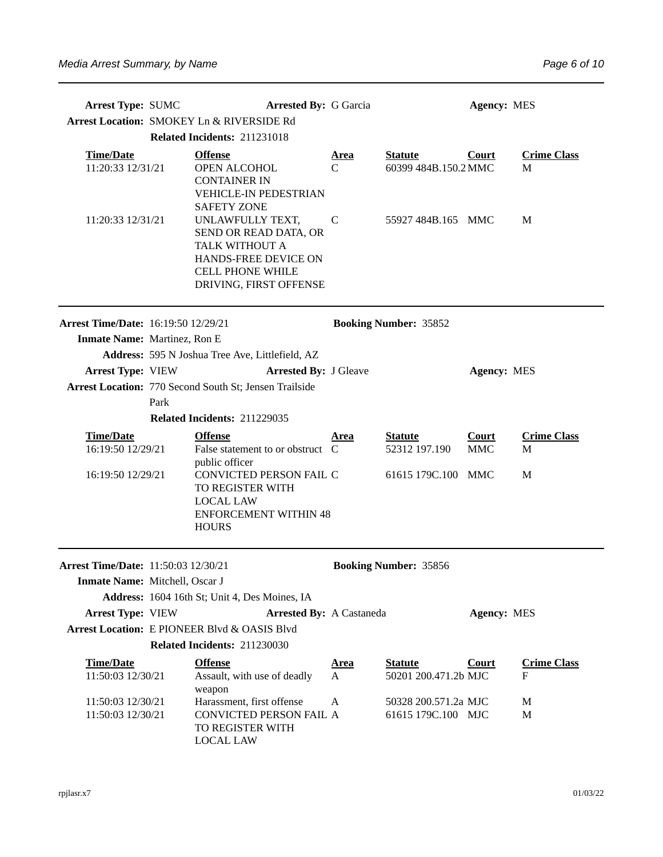| <b>Arrest Type: SUMC</b>                               |                                           | <b>Arrested By: G Garcia</b>                                                                                                             |                                                            |                                            | <b>Agency: MES</b>         |                         |
|--------------------------------------------------------|-------------------------------------------|------------------------------------------------------------------------------------------------------------------------------------------|------------------------------------------------------------|--------------------------------------------|----------------------------|-------------------------|
|                                                        | Arrest Location: SMOKEY Ln & RIVERSIDE Rd |                                                                                                                                          |                                                            |                                            |                            |                         |
|                                                        |                                           | Related Incidents: 211231018                                                                                                             |                                                            |                                            |                            |                         |
| <b>Time/Date</b><br>11:20:33 12/31/21                  |                                           | <b>Offense</b><br>OPEN ALCOHOL<br><b>CONTAINER IN</b><br><b>VEHICLE-IN PEDESTRIAN</b><br><b>SAFETY ZONE</b>                              | <b>Statute</b><br><u>Area</u><br>60399 484B.150.2 MMC<br>C |                                            | <b>Court</b>               | <b>Crime Class</b><br>M |
| 11:20:33 12/31/21                                      |                                           | UNLAWFULLY TEXT,<br>SEND OR READ DATA, OR<br>TALK WITHOUT A<br>HANDS-FREE DEVICE ON<br><b>CELL PHONE WHILE</b><br>DRIVING, FIRST OFFENSE | C                                                          | 55927 484B.165 MMC                         |                            | M                       |
| <b>Arrest Time/Date: 16:19:50 12/29/21</b>             |                                           |                                                                                                                                          |                                                            | <b>Booking Number: 35852</b>               |                            |                         |
| Inmate Name: Martinez, Ron E                           |                                           |                                                                                                                                          |                                                            |                                            |                            |                         |
|                                                        |                                           | Address: 595 N Joshua Tree Ave, Littlefield, AZ                                                                                          |                                                            |                                            |                            |                         |
| <b>Arrest Type: VIEW</b>                               |                                           | <b>Arrested By: J Gleave</b>                                                                                                             |                                                            |                                            | <b>Agency: MES</b>         |                         |
| Arrest Location: 770 Second South St; Jensen Trailside |                                           |                                                                                                                                          |                                                            |                                            |                            |                         |
|                                                        | Park                                      |                                                                                                                                          |                                                            |                                            |                            |                         |
|                                                        |                                           | Related Incidents: 211229035                                                                                                             |                                                            |                                            |                            |                         |
| <b>Time/Date</b><br>16:19:50 12/29/21                  |                                           | <b>Offense</b><br>False statement to or obstruct C<br>public officer                                                                     | <u>Area</u>                                                | <b>Statute</b><br>52312 197.190            | <b>Court</b><br><b>MMC</b> | <b>Crime Class</b><br>M |
| 16:19:50 12/29/21                                      |                                           | CONVICTED PERSON FAIL C<br>TO REGISTER WITH<br><b>LOCAL LAW</b><br><b>ENFORCEMENT WITHIN 48</b><br><b>HOURS</b>                          |                                                            | 61615 179C.100 MMC                         |                            | M                       |
| <b>Arrest Time/Date: 11:50:03 12/30/21</b>             |                                           |                                                                                                                                          |                                                            | <b>Booking Number: 35856</b>               |                            |                         |
| <b>Inmate Name:</b> Mitchell, Oscar J                  |                                           |                                                                                                                                          |                                                            |                                            |                            |                         |
|                                                        |                                           | Address: 1604 16th St; Unit 4, Des Moines, IA                                                                                            |                                                            |                                            |                            |                         |
| <b>Arrest Type: VIEW</b>                               |                                           | <b>Arrested By: A Castaneda</b>                                                                                                          |                                                            |                                            | <b>Agency: MES</b>         |                         |
|                                                        |                                           | Arrest Location: E PIONEER Blvd & OASIS Blvd                                                                                             |                                                            |                                            |                            |                         |
|                                                        |                                           | Related Incidents: 211230030                                                                                                             |                                                            |                                            |                            |                         |
| <b>Time/Date</b>                                       |                                           | <b>Offense</b>                                                                                                                           | <u>Area</u>                                                | <b>Statute</b>                             | <b>Court</b>               | <b>Crime Class</b>      |
| 11:50:03 12/30/21                                      |                                           | Assault, with use of deadly<br>weapon                                                                                                    | $\mathbf{A}$                                               | 50201 200.471.2b MJC                       |                            | F                       |
| 11:50:03 12/30/21<br>11:50:03 12/30/21                 |                                           | Harassment, first offense<br>CONVICTED PERSON FAIL A<br>TO REGISTER WITH<br>LOCAL LAW                                                    | A                                                          | 50328 200.571.2a MJC<br>61615 179C.100 MJC |                            | M<br>M                  |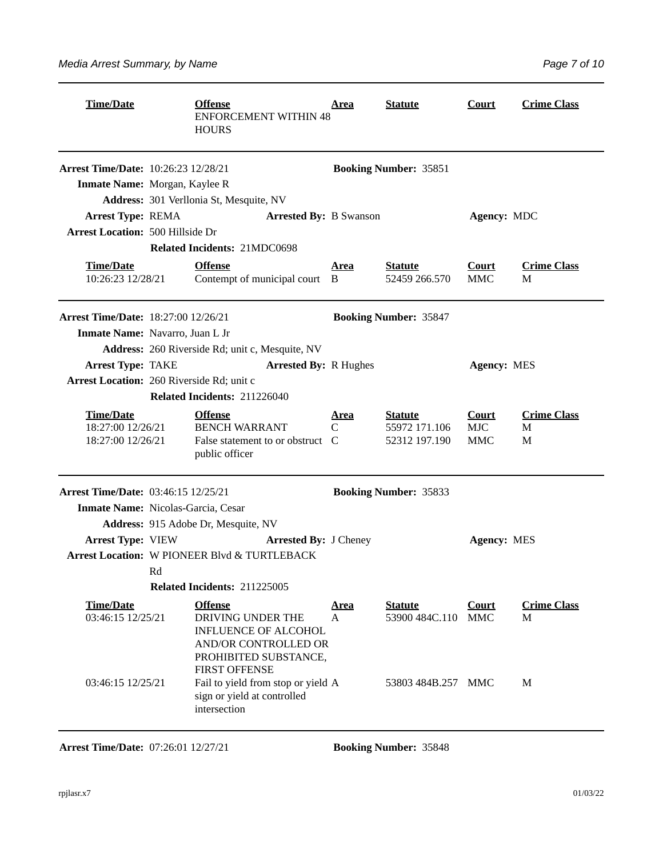| Page 7 of 10 |  |  |
|--------------|--|--|
|              |  |  |

| <b>Time/Date</b><br><b>Offense</b><br><b>ENFORCEMENT WITHIN 48</b><br><b>HOURS</b> |    | <u>Area</u>                                                                                                                                 | <b>Statute</b>   | <b>Court</b>                                     | <b>Crime Class</b>                |                              |
|------------------------------------------------------------------------------------|----|---------------------------------------------------------------------------------------------------------------------------------------------|------------------|--------------------------------------------------|-----------------------------------|------------------------------|
| <b>Arrest Time/Date: 10:26:23 12/28/21</b>                                         |    |                                                                                                                                             |                  | <b>Booking Number: 35851</b>                     |                                   |                              |
| Inmate Name: Morgan, Kaylee R                                                      |    |                                                                                                                                             |                  |                                                  |                                   |                              |
|                                                                                    |    | Address: 301 Verllonia St, Mesquite, NV                                                                                                     |                  |                                                  |                                   |                              |
| <b>Arrest Type: REMA</b>                                                           |    | <b>Arrested By: B Swanson</b>                                                                                                               |                  | Agency: MDC                                      |                                   |                              |
| <b>Arrest Location: 500 Hillside Dr</b>                                            |    |                                                                                                                                             |                  |                                                  |                                   |                              |
|                                                                                    |    | Related Incidents: 21MDC0698                                                                                                                |                  |                                                  |                                   |                              |
| <b>Time/Date</b><br>10:26:23 12/28/21                                              |    | <b>Offense</b><br>Contempt of municipal court B                                                                                             | <u>Area</u>      | <b>Statute</b><br>52459 266.570                  | <b>Court</b><br><b>MMC</b>        | <b>Crime Class</b><br>M      |
| <b>Arrest Time/Date: 18:27:00 12/26/21</b>                                         |    |                                                                                                                                             |                  | <b>Booking Number: 35847</b>                     |                                   |                              |
| Inmate Name: Navarro, Juan L Jr                                                    |    |                                                                                                                                             |                  |                                                  |                                   |                              |
|                                                                                    |    | Address: 260 Riverside Rd; unit c, Mesquite, NV                                                                                             |                  |                                                  |                                   |                              |
| Arrest Type: TAKE                                                                  |    | <b>Arrested By: R Hughes</b>                                                                                                                |                  |                                                  | <b>Agency: MES</b>                |                              |
| Arrest Location: 260 Riverside Rd; unit c                                          |    |                                                                                                                                             |                  |                                                  |                                   |                              |
|                                                                                    |    | Related Incidents: 211226040                                                                                                                |                  |                                                  |                                   |                              |
| <b>Time/Date</b><br>18:27:00 12/26/21<br>18:27:00 12/26/21                         |    | <b>Offense</b><br><b>BENCH WARRANT</b><br>False statement to or obstruct C<br>public officer                                                | <u>Area</u><br>C | <b>Statute</b><br>55972 171.106<br>52312 197.190 | <b>Court</b><br><b>MJC</b><br>MMC | <b>Crime Class</b><br>М<br>M |
| Arrest Time/Date: 03:46:15 12/25/21                                                |    |                                                                                                                                             |                  | <b>Booking Number: 35833</b>                     |                                   |                              |
| Inmate Name: Nicolas-Garcia, Cesar                                                 |    |                                                                                                                                             |                  |                                                  |                                   |                              |
|                                                                                    |    | Address: 915 Adobe Dr, Mesquite, NV                                                                                                         |                  |                                                  |                                   |                              |
| <b>Arrest Type: VIEW</b>                                                           |    | <b>Arrested By: J Cheney</b>                                                                                                                |                  |                                                  | <b>Agency: MES</b>                |                              |
|                                                                                    |    | <b>Arrest Location: W PIONEER Blvd &amp; TURTLEBACK</b>                                                                                     |                  |                                                  |                                   |                              |
|                                                                                    | Rd |                                                                                                                                             |                  |                                                  |                                   |                              |
|                                                                                    |    | Related Incidents: 211225005                                                                                                                |                  |                                                  |                                   |                              |
| <b>Time/Date</b><br>03:46:15 12/25/21                                              |    | <b>Offense</b><br>DRIVING UNDER THE<br><b>INFLUENCE OF ALCOHOL</b><br>AND/OR CONTROLLED OR<br>PROHIBITED SUBSTANCE,<br><b>FIRST OFFENSE</b> | <u>Area</u><br>A | <b>Statute</b><br>53900 484C.110                 | <b>Court</b><br><b>MMC</b>        | <b>Crime Class</b><br>M      |
| 03:46:15 12/25/21                                                                  |    | Fail to yield from stop or yield A<br>sign or yield at controlled<br>intersection                                                           |                  | 53803 484B.257 MMC                               |                                   | M                            |

**Arrest Time/Date:** 07:26:01 12/27/21 **Booking Number:** 35848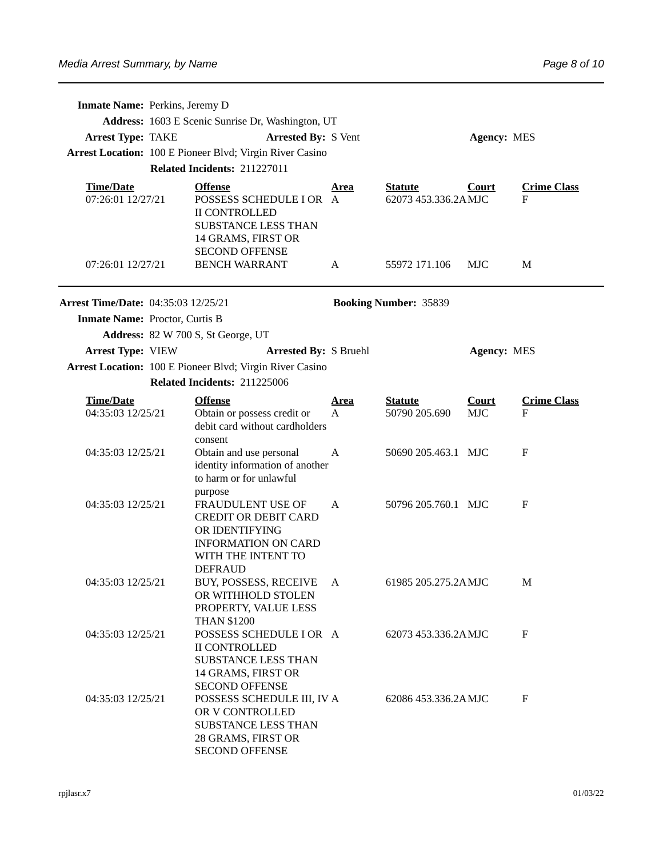|                                            | <b>Inmate Name: Perkins, Jeremy D</b>             |                                                                                                                                                            |                             |                                       |                            |                         |  |  |
|--------------------------------------------|---------------------------------------------------|------------------------------------------------------------------------------------------------------------------------------------------------------------|-----------------------------|---------------------------------------|----------------------------|-------------------------|--|--|
|                                            | Address: 1603 E Scenic Sunrise Dr, Washington, UT |                                                                                                                                                            |                             |                                       |                            |                         |  |  |
| <b>Arrest Type: TAKE</b>                   | <b>Arrested By: S Vent</b><br><b>Agency: MES</b>  |                                                                                                                                                            |                             |                                       |                            |                         |  |  |
|                                            |                                                   | Arrest Location: 100 E Pioneer Blvd; Virgin River Casino                                                                                                   |                             |                                       |                            |                         |  |  |
|                                            |                                                   | Related Incidents: 211227011                                                                                                                               |                             |                                       |                            |                         |  |  |
| <b>Time/Date</b><br>07:26:01 12/27/21      |                                                   | <b>Offense</b><br>POSSESS SCHEDULE I OR A<br><b>II CONTROLLED</b><br><b>SUBSTANCE LESS THAN</b><br>14 GRAMS, FIRST OR<br><b>SECOND OFFENSE</b>             | <u>Area</u>                 | <b>Statute</b><br>62073 453.336.2AMJC | <b>Court</b>               | <b>Crime Class</b><br>F |  |  |
| 07:26:01 12/27/21                          |                                                   | <b>BENCH WARRANT</b>                                                                                                                                       | A                           | 55972 171.106                         | MJC                        | M                       |  |  |
| <b>Arrest Time/Date: 04:35:03 12/25/21</b> |                                                   |                                                                                                                                                            |                             | <b>Booking Number: 35839</b>          |                            |                         |  |  |
| Inmate Name: Proctor, Curtis B             |                                                   |                                                                                                                                                            |                             |                                       |                            |                         |  |  |
|                                            |                                                   | Address: 82 W 700 S, St George, UT                                                                                                                         |                             |                                       |                            |                         |  |  |
| <b>Arrest Type: VIEW</b>                   |                                                   | <b>Arrested By: S Bruehl</b>                                                                                                                               |                             |                                       | <b>Agency: MES</b>         |                         |  |  |
|                                            |                                                   | Arrest Location: 100 E Pioneer Blvd; Virgin River Casino                                                                                                   |                             |                                       |                            |                         |  |  |
|                                            |                                                   | Related Incidents: 211225006                                                                                                                               |                             |                                       |                            |                         |  |  |
| <b>Time/Date</b><br>04:35:03 12/25/21      |                                                   | <b>Offense</b><br>Obtain or possess credit or<br>debit card without cardholders                                                                            | <u>Area</u><br>$\mathsf{A}$ | <b>Statute</b><br>50790 205.690       | <b>Court</b><br><b>MJC</b> | <b>Crime Class</b><br>F |  |  |
| 04:35:03 12/25/21                          |                                                   | consent<br>Obtain and use personal<br>identity information of another<br>to harm or for unlawful                                                           | A                           | 50690 205.463.1 MJC                   |                            | F                       |  |  |
| 04:35:03 12/25/21                          |                                                   | purpose<br><b>FRAUDULENT USE OF</b><br><b>CREDIT OR DEBIT CARD</b><br>OR IDENTIFYING<br><b>INFORMATION ON CARD</b><br>WITH THE INTENT TO<br><b>DEFRAUD</b> | A                           | 50796 205.760.1 MJC                   |                            | F                       |  |  |
| 04:35:03 12/25/21                          |                                                   | BUY, POSSESS, RECEIVE<br>OR WITHHOLD STOLEN<br>PROPERTY, VALUE LESS                                                                                        | A                           | 61985 205.275.2AMJC                   |                            | M                       |  |  |
| 04:35:03 12/25/21                          |                                                   | <b>THAN \$1200</b><br>POSSESS SCHEDULE I OR A<br><b>II CONTROLLED</b><br><b>SUBSTANCE LESS THAN</b><br>14 GRAMS, FIRST OR<br><b>SECOND OFFENSE</b>         |                             | 62073 453.336.2AMJC                   |                            | F                       |  |  |
| 04:35:03 12/25/21                          |                                                   | POSSESS SCHEDULE III, IV A<br>OR V CONTROLLED<br><b>SUBSTANCE LESS THAN</b><br>28 GRAMS, FIRST OR<br><b>SECOND OFFENSE</b>                                 |                             | 62086 453.336.2A MJC                  |                            | F                       |  |  |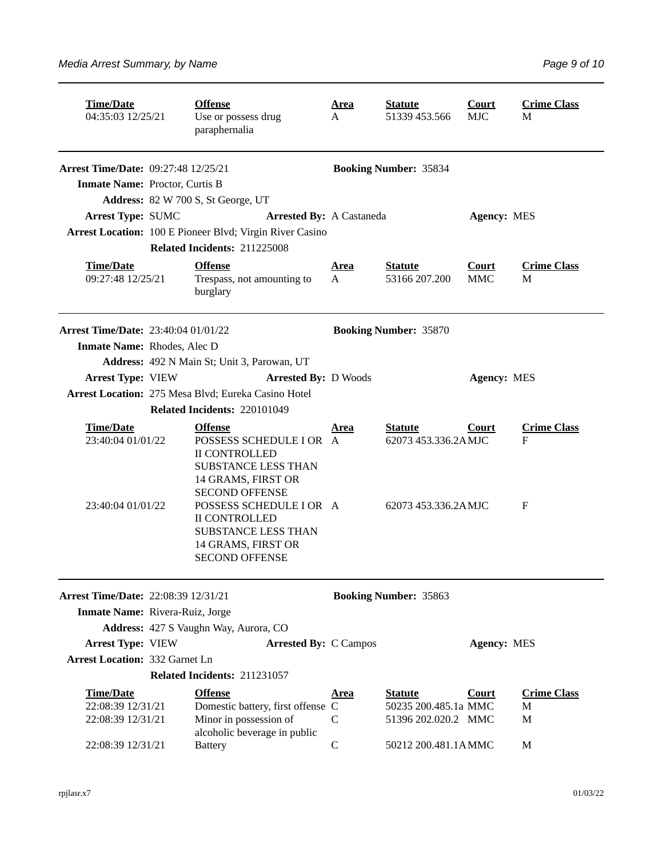| <b>Time/Date</b><br>04:35:03 12/25/21                                  |  | <b>Offense</b><br>Use or possess drug<br>paraphernalia                                                                                         | <u>Area</u><br>А             | <b>Statute</b><br>51339 453.566                       | <b>Court</b><br><b>MJC</b> | <b>Crime Class</b><br>M |  |
|------------------------------------------------------------------------|--|------------------------------------------------------------------------------------------------------------------------------------------------|------------------------------|-------------------------------------------------------|----------------------------|-------------------------|--|
| <b>Arrest Time/Date: 09:27:48 12/25/21</b>                             |  |                                                                                                                                                | <b>Booking Number: 35834</b> |                                                       |                            |                         |  |
| Inmate Name: Proctor, Curtis B                                         |  |                                                                                                                                                |                              |                                                       |                            |                         |  |
|                                                                        |  | Address: 82 W 700 S, St George, UT                                                                                                             |                              |                                                       |                            |                         |  |
| <b>Arrest Type: SUMC</b>                                               |  | <b>Arrested By: A Castaneda</b>                                                                                                                |                              |                                                       | <b>Agency: MES</b>         |                         |  |
|                                                                        |  | Arrest Location: 100 E Pioneer Blvd; Virgin River Casino                                                                                       |                              |                                                       |                            |                         |  |
|                                                                        |  | Related Incidents: 211225008                                                                                                                   |                              |                                                       |                            |                         |  |
| <b>Time/Date</b><br>09:27:48 12/25/21                                  |  | <b>Offense</b><br>Trespass, not amounting to<br>burglary                                                                                       | <u>Area</u><br>A             | <b>Statute</b><br>53166 207.200                       | <b>Court</b><br><b>MMC</b> | <b>Crime Class</b><br>M |  |
| Arrest Time/Date: 23:40:04 01/01/22                                    |  |                                                                                                                                                |                              | <b>Booking Number: 35870</b>                          |                            |                         |  |
| Inmate Name: Rhodes, Alec D                                            |  |                                                                                                                                                |                              |                                                       |                            |                         |  |
|                                                                        |  | Address: 492 N Main St; Unit 3, Parowan, UT                                                                                                    |                              |                                                       |                            |                         |  |
| <b>Arrest Type: VIEW</b>                                               |  | <b>Arrested By: D Woods</b>                                                                                                                    |                              |                                                       | <b>Agency: MES</b>         |                         |  |
| Arrest Location: 275 Mesa Blvd; Eureka Casino Hotel                    |  |                                                                                                                                                |                              |                                                       |                            |                         |  |
|                                                                        |  | Related Incidents: 220101049                                                                                                                   |                              |                                                       |                            |                         |  |
| <b>Time/Date</b><br>23:40:04 01/01/22                                  |  | <b>Offense</b><br>POSSESS SCHEDULE I OR A<br><b>II CONTROLLED</b><br><b>SUBSTANCE LESS THAN</b><br>14 GRAMS, FIRST OR<br><b>SECOND OFFENSE</b> | Area                         | <b>Statute</b><br><b>Court</b><br>62073 453.336.2AMJC |                            | <b>Crime Class</b><br>F |  |
| 23:40:04 01/01/22                                                      |  | POSSESS SCHEDULE I OR A<br><b>II CONTROLLED</b><br><b>SUBSTANCE LESS THAN</b><br>14 GRAMS, FIRST OR<br><b>SECOND OFFENSE</b>                   |                              | 62073 453.336.2AMJC                                   |                            | F                       |  |
| Arrest Time/Date: 22:08:39 12/31/21<br>Inmate Name: Rivera-Ruiz, Jorge |  |                                                                                                                                                |                              | <b>Booking Number: 35863</b>                          |                            |                         |  |
| Address: 427 S Vaughn Way, Aurora, CO                                  |  |                                                                                                                                                |                              |                                                       |                            |                         |  |
| <b>Arrest Type: VIEW</b>                                               |  | <b>Arrested By: C Campos</b>                                                                                                                   |                              |                                                       | <b>Agency: MES</b>         |                         |  |
| <b>Arrest Location: 332 Garnet Ln</b>                                  |  |                                                                                                                                                |                              |                                                       |                            |                         |  |
|                                                                        |  | Related Incidents: 211231057                                                                                                                   |                              |                                                       |                            |                         |  |
| <b>Time/Date</b>                                                       |  | <b>Offense</b>                                                                                                                                 | <u>Area</u>                  | <b>Statute</b>                                        | <b>Court</b>               | <b>Crime Class</b>      |  |
| 22:08:39 12/31/21                                                      |  | Domestic battery, first offense C                                                                                                              |                              | 50235 200.485.1a MMC                                  |                            | M                       |  |
| 22:08:39 12/31/21                                                      |  | Minor in possession of<br>alcoholic beverage in public                                                                                         | $\mathsf{C}$                 | 51396 202.020.2 MMC                                   |                            | M                       |  |
| 22:08:39 12/31/21                                                      |  | <b>Battery</b>                                                                                                                                 | $\mathsf C$                  | 50212 200.481.1AMMC                                   |                            | M                       |  |